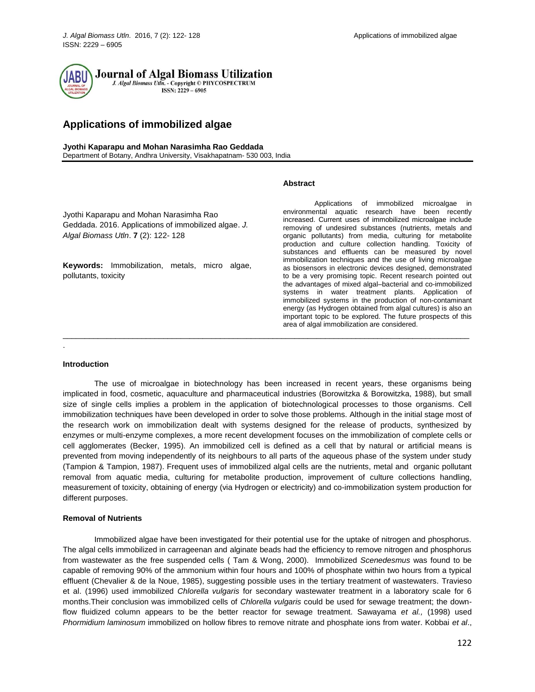# **Applications of immobilized algae**

**Jyothi Kaparapu and Mohan Narasimha Rao Geddada**

Department of Botany, Andhra University, Visakhapatnam- 530 003, India

## **Abstract**

Jyothi Kaparapu and Mohan Narasimha Rao Geddada. 2016. Applications of immobilized algae. *J. Algal Biomass Utln*. **7** (2): 122- 128

**Keywords:** Immobilization, metals, micro algae, pollutants, toxicity

Applications of immobilized microalgae in environmental aquatic research have been recently increased. Current uses of immobilized microalgae include removing of undesired substances (nutrients, metals and organic pollutants) from media, culturing for metabolite production and culture collection handling. Toxicity of substances and effluents can be measured by novel immobilization techniques and the use of living microalgae as biosensors in electronic devices designed, demonstrated to be a very promising topic. Recent research pointed out the advantages of mixed algal–bacterial and co-immobilized systems in water treatment plants. Application of immobilized systems in the production of non-contaminant energy (as Hydrogen obtained from algal cultures) is also an important topic to be explored. The future prospects of this area of algal immobilization are considered.

#### **Introduction**

.

The use of microalgae in biotechnology has been increased in recent years, these organisms being implicated in food, cosmetic, aquaculture and pharmaceutical industries (Borowitzka & Borowitzka, 1988), but small size of single cells implies a problem in the application of biotechnological processes to those organisms. Cell immobilization techniques have been developed in order to solve those problems. Although in the initial stage most of the research work on immobilization dealt with systems designed for the release of products, synthesized by enzymes or multi-enzyme complexes, a more recent development focuses on the immobilization of complete cells or cell agglomerates (Becker, 1995). An immobilized cell is defined as a cell that by natural or artificial means is prevented from moving independently of its neighbours to all parts of the aqueous phase of the system under study (Tampion & Tampion, 1987). Frequent uses of immobilized algal cells are the nutrients, metal and organic pollutant removal from aquatic media, culturing for metabolite production, improvement of culture collections handling, measurement of toxicity, obtaining of energy (via Hydrogen or electricity) and co-immobilization system production for different purposes.

 $\overline{a}$  , and the state of the state of the state of the state of the state of the state of the state of the state of the state of the state of the state of the state of the state of the state of the state of the state o

# **Removal of Nutrients**

Immobilized algae have been investigated for their potential use for the uptake of nitrogen and phosphorus. The algal cells immobilized in carrageenan and alginate beads had the efficiency to remove nitrogen and phosphorus from wastewater as the free suspended cells ( Tam & Wong, 2000). Immobilized *Scenedesmus* was found to be capable of removing 90% of the ammonium within four hours and 100% of phosphate within two hours from a typical effluent (Chevalier & de la Noue, 1985), suggesting possible uses in the tertiary treatment of wastewaters. Travieso et al. (1996) used immobilized *Chlorella vulgaris* for secondary wastewater treatment in a laboratory scale for 6 months.Their conclusion was immobilized cells of *Chlorella vulgaris* could be used for sewage treatment; the downflow fluidized column appears to be the better reactor for sewage treatment. Sawayama *et al.,* (1998) used *Phormidium laminosum* immobilized on hollow fibres to remove nitrate and phosphate ions from water. Kobbai *et al*.,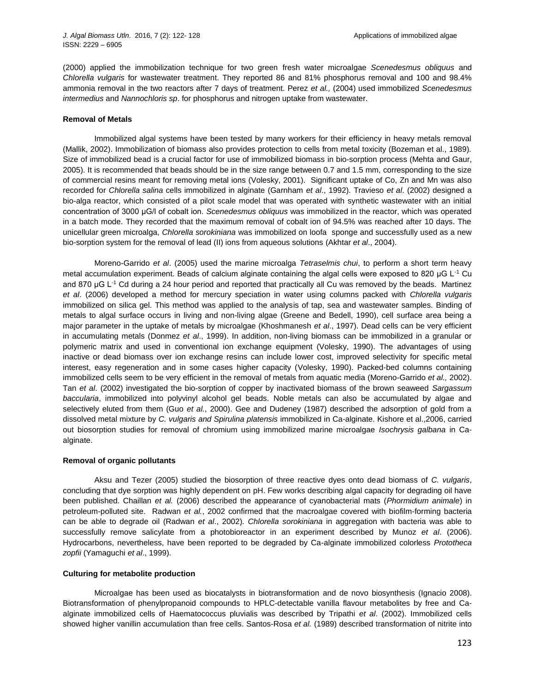(2000) applied the immobilization technique for two green fresh water microalgae *Scenedesmus obliquus* and *Chlorella vulgaris* for wastewater treatment. They reported 86 and 81% phosphorus removal and 100 and 98.4% ammonia removal in the two reactors after 7 days of treatment. Perez *et al.,* (2004) used immobilized *Scenedesmus intermedius* and *Nannochloris sp*. for phosphorus and nitrogen uptake from wastewater.

### **Removal of Metals**

Immobilized algal systems have been tested by many workers for their efficiency in heavy metals removal (Mallik, 2002). Immobilization of biomass also provides protection to cells from metal toxicity (Bozeman et al., 1989). Size of immobilized bead is a crucial factor for use of immobilized biomass in bio-sorption process (Mehta and Gaur, 2005). It is recommended that beads should be in the size range between 0.7 and 1.5 mm, corresponding to the size of commercial resins meant for removing metal ions (Volesky, 2001). Significant uptake of Co, Zn and Mn was also recorded for *Chlorella salina* cells immobilized in alginate (Garnham *et al*., 1992). Travieso *et al*. (2002) designed a bio-alga reactor, which consisted of a pilot scale model that was operated with synthetic wastewater with an initial concentration of 3000 μG/l of cobalt ion. *Scenedesmus obliquus* was immobilized in the reactor, which was operated in a batch mode. They recorded that the maximum removal of cobalt ion of 94.5% was reached after 10 days. The unicellular green microalga, *Chlorella sorokiniana* was immobilized on loofa sponge and successfully used as a new bio-sorption system for the removal of lead (II) ions from aqueous solutions (Akhtar *et al*., 2004).

Moreno-Garrido *et al*. (2005) used the marine microalga *Tetraselmis chui*, to perform a short term heavy metal accumulation experiment. Beads of calcium alginate containing the algal cells were exposed to 820 μG L<sup>-1</sup> Cu and 870 μG L<sup>-1</sup> Cd during a 24 hour period and reported that practically all Cu was removed by the beads. Martinez *et al*. (2006) developed a method for mercury speciation in water using columns packed with *Chlorella vulgaris*  immobilized on silica gel. This method was applied to the analysis of tap, sea and wastewater samples. Binding of metals to algal surface occurs in living and non-living algae (Greene and Bedell, 1990), cell surface area being a major parameter in the uptake of metals by microalgae (Khoshmanesh *et al*., 1997). Dead cells can be very efficient in accumulating metals (Donmez *et al*., 1999). In addition, non-living biomass can be immobilized in a granular or polymeric matrix and used in conventional ion exchange equipment (Volesky, 1990). The advantages of using inactive or dead biomass over ion exchange resins can include lower cost, improved selectivity for specific metal interest, easy regeneration and in some cases higher capacity (Volesky, 1990). Packed-bed columns containing immobilized cells seem to be very efficient in the removal of metals from aquatic media (Moreno-Garrido *et al.,* 2002). Tan *et al*. (2002) investigated the bio-sorption of copper by inactivated biomass of the brown seaweed *Sargassum baccularia*, immobilized into polyvinyl alcohol gel beads. Noble metals can also be accumulated by algae and selectively eluted from them (Guo *et al.*, 2000). Gee and Dudeney (1987) described the adsorption of gold from a dissolved metal mixture by *C. vulgaris and Spirulina platensis* immobilized in Ca-alginate. Kishore et al.,2006, carried out biosorption studies for removal of chromium using immobilized marine microalgae *Isochrysis galbana* in Caalginate.

# **Removal of organic pollutants**

Aksu and Tezer (2005) studied the biosorption of three reactive dyes onto dead biomass of *C. vulgaris*, concluding that dye sorption was highly dependent on pH. Few works describing algal capacity for degrading oil have been published. Chaillan *et al.* (2006) described the appearance of cyanobacterial mats (*Phormidium animale*) in petroleum-polluted site. Radwan *et al.*, 2002 confirmed that the macroalgae covered with biofilm-forming bacteria can be able to degrade oil (Radwan *et al*., 2002). *Chlorella sorokiniana* in aggregation with bacteria was able to successfully remove salicylate from a photobioreactor in an experiment described by Munoz *et al*. (2006). Hydrocarbons, nevertheless, have been reported to be degraded by Ca-alginate immobilized colorless *Prototheca zopfii* (Yamaguchi *et al*., 1999).

# **Culturing for metabolite production**

Microalgae has been used as biocatalysts in biotransformation and de novo biosynthesis (Ignacio 2008). Biotransformation of phenylpropanoid compounds to HPLC-detectable vanilla flavour metabolites by free and Caalginate immobilized cells of Haematococcus pluvialis was described by Tripathi *et al*. (2002). Immobilized cells showed higher vanillin accumulation than free cells. Santos-Rosa *et al.* (1989) described transformation of nitrite into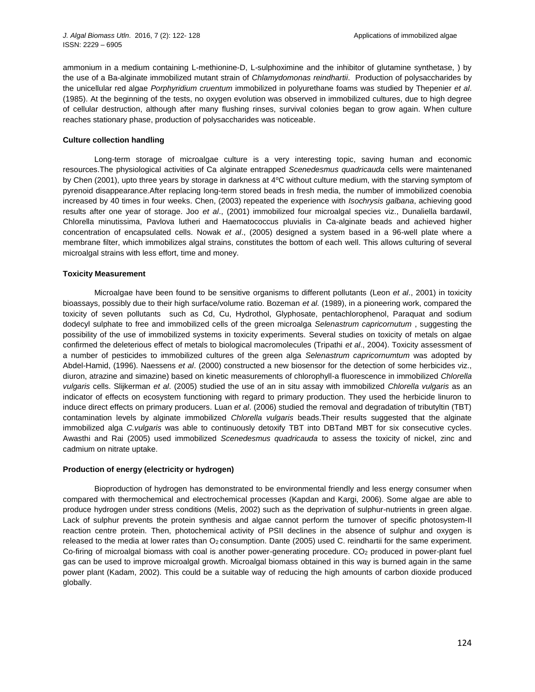ammonium in a medium containing L-methionine-D, L-sulphoximine and the inhibitor of glutamine synthetase, ) by the use of a Ba-alginate immobilized mutant strain of *Chlamydomonas reindhartii*. Production of polysaccharides by the unicellular red algae *Porphyridium cruentum* immobilized in polyurethane foams was studied by Thepenier *et al*. (1985). At the beginning of the tests, no oxygen evolution was observed in immobilized cultures, due to high degree of cellular destruction, although after many flushing rinses, survival colonies began to grow again. When culture reaches stationary phase, production of polysaccharides was noticeable.

## **Culture collection handling**

Long-term storage of microalgae culture is a very interesting topic, saving human and economic resources.The physiological activities of Ca alginate entrapped *Scenedesmus quadricauda* cells were maintenaned by Chen (2001), upto three years by storage in darkness at 4°C without culture medium, with the starving symptom of pyrenoid disappearance.After replacing long-term stored beads in fresh media, the number of immobilized coenobia increased by 40 times in four weeks. Chen, (2003) repeated the experience with *Isochrysis galbana*, achieving good results after one year of storage. Joo *et al*., (2001) immobilized four microalgal species viz., Dunaliella bardawil, Chlorella minutissima, Pavlova lutheri and Haematococcus pluvialis in Ca-alginate beads and achieved higher concentration of encapsulated cells. Nowak *et al*., (2005) designed a system based in a 96-well plate where a membrane filter, which immobilizes algal strains, constitutes the bottom of each well. This allows culturing of several microalgal strains with less effort, time and money.

## **Toxicity Measurement**

Microalgae have been found to be sensitive organisms to different pollutants (Leon *et al*., 2001) in toxicity bioassays, possibly due to their high surface/volume ratio. Bozeman *et al.* (1989), in a pioneering work, compared the toxicity of seven pollutants such as Cd, Cu, Hydrothol, Glyphosate, pentachlorophenol, Paraquat and sodium dodecyl sulphate to free and immobilized cells of the green microalga *Selenastrum capricornutum* , suggesting the possibility of the use of immobilized systems in toxicity experiments. Several studies on toxicity of metals on algae confirmed the deleterious effect of metals to biological macromolecules (Tripathi *et al*., 2004). Toxicity assessment of a number of pesticides to immobilized cultures of the green alga *Selenastrum capricornumtum* was adopted by Abdel-Hamid, (1996). Naessens *et al*. (2000) constructed a new biosensor for the detection of some herbicides viz., diuron, atrazine and simazine) based on kinetic measurements of chlorophyll-a fluorescence in immobilized *Chlorella vulgaris* cells. Slijkerman *et al*. (2005) studied the use of an in situ assay with immobilized *Chlorella vulgaris* as an indicator of effects on ecosystem functioning with regard to primary production. They used the herbicide linuron to induce direct effects on primary producers. Luan *et al*. (2006) studied the removal and degradation of tributyltin (TBT) contamination levels by alginate immobilized *Chlorella vulgaris* beads.Their results suggested that the alginate immobilized alga *C.vulgaris* was able to continuously detoxify TBT into DBTand MBT for six consecutive cycles. Awasthi and Rai (2005) used immobilized *Scenedesmus quadricauda* to assess the toxicity of nickel, zinc and cadmium on nitrate uptake.

#### **Production of energy (electricity or hydrogen)**

Bioproduction of hydrogen has demonstrated to be environmental friendly and less energy consumer when compared with thermochemical and electrochemical processes (Kapdan and Kargi, 2006). Some algae are able to produce hydrogen under stress conditions (Melis, 2002) such as the deprivation of sulphur-nutrients in green algae. Lack of sulphur prevents the protein synthesis and algae cannot perform the turnover of specific photosystem-II reaction centre protein. Then, photochemical activity of PSII declines in the absence of sulphur and oxygen is released to the media at lower rates than O<sub>2</sub> consumption. Dante (2005) used C. reindhartii for the same experiment. Co-firing of microalgal biomass with coal is another power-generating procedure. CO<sub>2</sub> produced in power-plant fuel gas can be used to improve microalgal growth. Microalgal biomass obtained in this way is burned again in the same power plant (Kadam, 2002). This could be a suitable way of reducing the high amounts of carbon dioxide produced globally.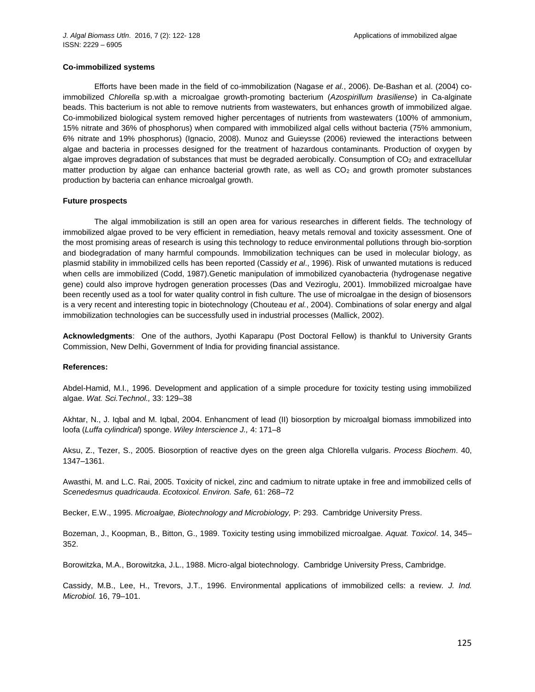### **Co-immobilized systems**

Efforts have been made in the field of co-immobilization (Nagase *et al.*, 2006). De-Bashan et al. (2004) coimmobilized *Chlorella* sp.with a microalgae growth-promoting bacterium (*Azospirillum brasiliense*) in Ca-alginate beads. This bacterium is not able to remove nutrients from wastewaters, but enhances growth of immobilized algae. Co-immobilized biological system removed higher percentages of nutrients from wastewaters (100% of ammonium, 15% nitrate and 36% of phosphorus) when compared with immobilized algal cells without bacteria (75% ammonium, 6% nitrate and 19% phosphorus) (Ignacio, 2008). Munoz and Guieysse (2006) reviewed the interactions between algae and bacteria in processes designed for the treatment of hazardous contaminants. Production of oxygen by algae improves degradation of substances that must be degraded aerobically. Consumption of CO<sub>2</sub> and extracellular matter production by algae can enhance bacterial growth rate, as well as CO<sub>2</sub> and growth promoter substances production by bacteria can enhance microalgal growth.

## **Future prospects**

The algal immobilization is still an open area for various researches in different fields. The technology of immobilized algae proved to be very efficient in remediation, heavy metals removal and toxicity assessment. One of the most promising areas of research is using this technology to reduce environmental pollutions through bio-sorption and biodegradation of many harmful compounds. Immobilization techniques can be used in molecular biology, as plasmid stability in immobilized cells has been reported (Cassidy *et al*., 1996). Risk of unwanted mutations is reduced when cells are immobilized (Codd, 1987).Genetic manipulation of immobilized cyanobacteria (hydrogenase negative gene) could also improve hydrogen generation processes (Das and Veziroglu, 2001). Immobilized microalgae have been recently used as a tool for water quality control in fish culture. The use of microalgae in the design of biosensors is a very recent and interesting topic in biotechnology (Chouteau *et al.*, 2004). Combinations of solar energy and algal immobilization technologies can be successfully used in industrial processes (Mallick, 2002).

**Acknowledgments**: One of the authors, Jyothi Kaparapu (Post Doctoral Fellow) is thankful to University Grants Commission, New Delhi, Government of India for providing financial assistance.

### **References:**

Abdel-Hamid, M.I., 1996. Development and application of a simple procedure for toxicity testing using immobilized algae. *Wat. Sci.Technol.,* 33: 129–38

Akhtar, N., J. Iqbal and M. Iqbal, 2004. Enhancment of lead (II) biosorption by microalgal biomass immobilized into loofa (*Luffa cylindrical*) sponge. *Wiley Interscience J.,* 4: 171–8

Aksu, Z., Tezer, S., 2005. Biosorption of reactive dyes on the green alga Chlorella vulgaris. *Process Biochem*. 40, 1347–1361.

Awasthi, M. and L.C. Rai, 2005. Toxicity of nickel, zinc and cadmium to nitrate uptake in free and immobilized cells of *Scenedesmus quadricauda*. *Ecotoxicol. Environ. Safe,* 61: 268–72

Becker, E.W., 1995. *Microalgae, Biotechnology and Microbiology,* P: 293. Cambridge University Press.

Bozeman, J., Koopman, B., Bitton, G., 1989. Toxicity testing using immobilized microalgae. *Aquat. Toxicol*. 14, 345– 352.

Borowitzka, M.A., Borowitzka, J.L., 1988. Micro-algal biotechnology. Cambridge University Press, Cambridge.

Cassidy, M.B., Lee, H., Trevors, J.T., 1996. Environmental applications of immobilized cells: a review. *J. Ind. Microbiol.* 16, 79–101.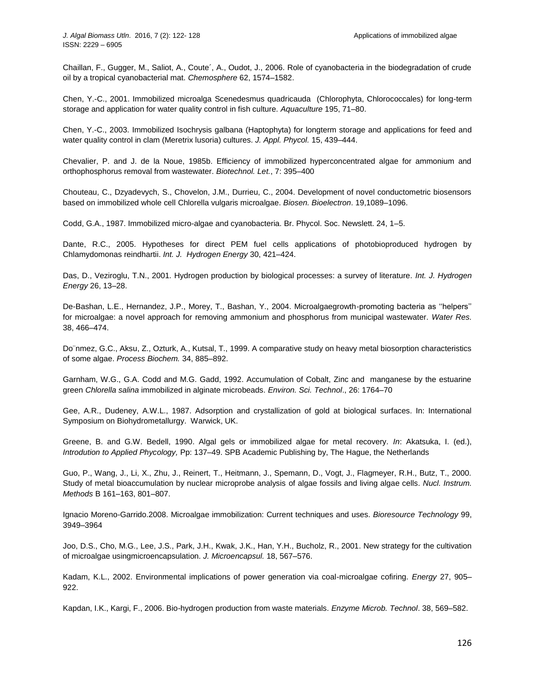Chaillan, F., Gugger, M., Saliot, A., Coute´, A., Oudot, J., 2006. Role of cyanobacteria in the biodegradation of crude oil by a tropical cyanobacterial mat. *Chemosphere* 62, 1574–1582.

Chen, Y.-C., 2001. Immobilized microalga Scenedesmus quadricauda (Chlorophyta, Chlorococcales) for long-term storage and application for water quality control in fish culture. *Aquaculture* 195, 71–80.

Chen, Y.-C., 2003. Immobilized Isochrysis galbana (Haptophyta) for longterm storage and applications for feed and water quality control in clam (Meretrix lusoria) cultures. *J. Appl. Phycol.* 15, 439–444.

Chevalier, P. and J. de la Noue, 1985b. Efficiency of immobilized hyperconcentrated algae for ammonium and orthophosphorus removal from wastewater. *Biotechnol. Let.*, 7: 395–400

Chouteau, C., Dzyadevych, S., Chovelon, J.M., Durrieu, C., 2004. Development of novel conductometric biosensors based on immobilized whole cell Chlorella vulgaris microalgae. *Biosen. Bioelectron*. 19,1089–1096.

Codd, G.A., 1987. Immobilized micro-algae and cyanobacteria. Br. Phycol. Soc. Newslett. 24, 1–5.

Dante, R.C., 2005. Hypotheses for direct PEM fuel cells applications of photobioproduced hydrogen by Chlamydomonas reindhartii. *Int. J. Hydrogen Energy* 30, 421–424.

Das, D., Veziroglu, T.N., 2001. Hydrogen production by biological processes: a survey of literature. *Int. J. Hydrogen Energy* 26, 13–28.

De-Bashan, L.E., Hernandez, J.P., Morey, T., Bashan, Y., 2004. Microalgaegrowth-promoting bacteria as ''helpers'' for microalgae: a novel approach for removing ammonium and phosphorus from municipal wastewater. *Water Res.* 38, 466–474.

Do¨nmez, G.C., Aksu, Z., Ozturk, A., Kutsal, T., 1999. A comparative study on heavy metal biosorption characteristics of some algae. *Process Biochem.* 34, 885–892.

Garnham, W.G., G.A. Codd and M.G. Gadd, 1992. Accumulation of Cobalt, Zinc and manganese by the estuarine green *Chlorella salina* immobilized in alginate microbeads. *Environ. Sci. Technol*., 26: 1764–70

Gee, A.R., Dudeney, A.W.L., 1987. Adsorption and crystallization of gold at biological surfaces. In: International Symposium on Biohydrometallurgy. Warwick, UK.

Greene, B. and G.W. Bedell, 1990. Algal gels or immobilized algae for metal recovery. *In*: Akatsuka, I. (ed.), *Introdution to Applied Phycology,* Pp: 137–49. SPB Academic Publishing by, The Hague, the Netherlands

Guo, P., Wang, J., Li, X., Zhu, J., Reinert, T., Heitmann, J., Spemann, D., Vogt, J., Flagmeyer, R.H., Butz, T., 2000. Study of metal bioaccumulation by nuclear microprobe analysis of algae fossils and living algae cells. *Nucl. Instrum. Methods* B 161–163, 801–807.

Ignacio Moreno-Garrido.2008. Microalgae immobilization: Current techniques and uses. *Bioresource Technology* 99, 3949–3964

Joo, D.S., Cho, M.G., Lee, J.S., Park, J.H., Kwak, J.K., Han, Y.H., Bucholz, R., 2001. New strategy for the cultivation of microalgae usingmicroencapsulation. *J. Microencapsul.* 18, 567–576.

Kadam, K.L., 2002. Environmental implications of power generation via coal-microalgae cofiring. *Energy* 27, 905– 922.

Kapdan, I.K., Kargi, F., 2006. Bio-hydrogen production from waste materials. *Enzyme Microb. Technol*. 38, 569–582.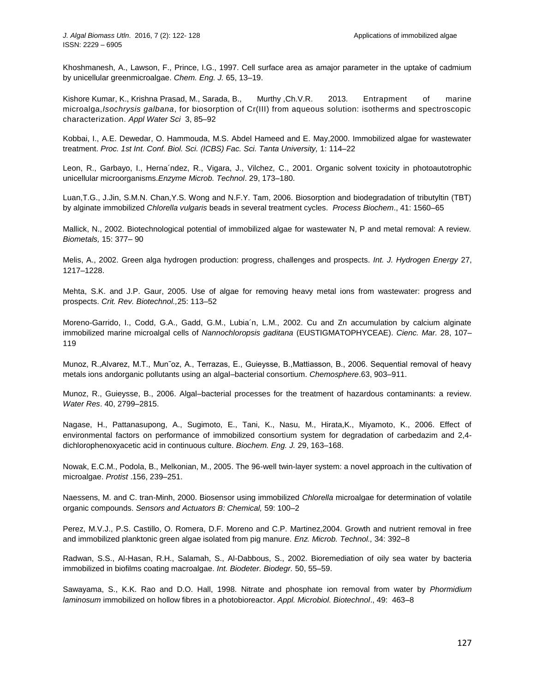Khoshmanesh, A., Lawson, F., Prince, I.G., 1997. Cell surface area as amajor parameter in the uptake of cadmium by unicellular greenmicroalgae. *Chem. Eng. J.* 65, 13–19.

Kishore Kumar, K., Krishna Prasad, M., Sarada, B., Murthy ,Ch.V.R. 2013. Entrapment of marine microalga,*Isochrysis galbana*, for biosorption of Cr(III) from aqueous solution: isotherms and spectroscopic characterization. *Appl Water Sci* 3, 85–92

Kobbai, I., A.E. Dewedar, O. Hammouda, M.S. Abdel Hameed and E. May,2000. Immobilized algae for wastewater treatment. *Proc. 1st Int. Conf. Biol. Sci. (ICBS) Fac. Sci. Tanta University,* 1: 114–22

Leon, R., Garbayo, I., Herna´ndez, R., Vigara, J., Vilchez, C., 2001. Organic solvent toxicity in photoautotrophic unicellular microorganisms.*Enzyme Microb. Technol*. 29, 173–180.

Luan,T.G., J.Jin, S.M.N. Chan,Y.S. Wong and N.F.Y. Tam, 2006. Biosorption and biodegradation of tributyltin (TBT) by alginate immobilized *Chlorella vulgaris* beads in several treatment cycles. *Process Biochem*., 41: 1560–65

Mallick, N., 2002. Biotechnological potential of immobilized algae for wastewater N, P and metal removal: A review. *Biometals,* 15: 377– 90

Melis, A., 2002. Green alga hydrogen production: progress, challenges and prospects. *Int. J. Hydrogen Energy* 27, 1217–1228.

Mehta, S.K. and J.P. Gaur, 2005. Use of algae for removing heavy metal ions from wastewater: progress and prospects. *Crit. Rev. Biotechnol.,*25: 113–52

Moreno-Garrido, I., Codd, G.A., Gadd, G.M., Lubia´n, L.M., 2002. Cu and Zn accumulation by calcium alginate immobilized marine microalgal cells of *Nannochloropsis gaditana* (EUSTIGMATOPHYCEAE). *Cienc. Mar.* 28, 107– 119

Munoz, R.,Alvarez, M.T., Mun˜oz, A., Terrazas, E., Guieysse, B.,Mattiasson, B., 2006. Sequential removal of heavy metals ions andorganic pollutants using an algal–bacterial consortium. *Chemosphere*.63, 903–911.

Munoz, R., Guieysse, B., 2006. Algal–bacterial processes for the treatment of hazardous contaminants: a review. *Water Res*. 40, 2799–2815.

Nagase, H., Pattanasupong, A., Sugimoto, E., Tani, K., Nasu, M., Hirata,K., Miyamoto, K., 2006. Effect of environmental factors on performance of immobilized consortium system for degradation of carbedazim and 2,4 dichlorophenoxyacetic acid in continuous culture. *Biochem. Eng. J.* 29, 163–168.

Nowak, E.C.M., Podola, B., Melkonian, M., 2005. The 96-well twin-layer system: a novel approach in the cultivation of microalgae. *Protist* .156, 239–251.

Naessens, M. and C. tran-Minh, 2000. Biosensor using immobilized *Chlorella* microalgae for determination of volatile organic compounds. *Sensors and Actuators B: Chemical,* 59: 100–2

Perez, M.V.J., P.S. Castillo, O. Romera, D.F. Moreno and C.P. Martinez,2004. Growth and nutrient removal in free and immobilized planktonic green algae isolated from pig manure. *Enz. Microb. Technol.,* 34: 392–8

Radwan, S.S., Al-Hasan, R.H., Salamah, S., Al-Dabbous, S., 2002. Bioremediation of oily sea water by bacteria immobilized in biofilms coating macroalgae. *Int. Biodeter. Biodegr.* 50, 55–59.

Sawayama, S., K.K. Rao and D.O. Hall, 1998. Nitrate and phosphate ion removal from water by *Phormidium laminosum* immobilized on hollow fibres in a photobioreactor. *Appl. Microbiol. Biotechnol*., 49: 463–8